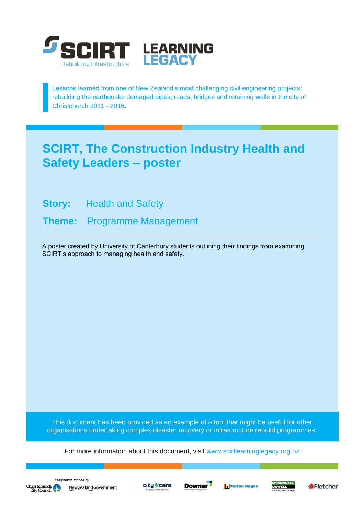

Lessons learned from one of New Zealand's most challenging civil engineering projects: rebuilding the earthquake damaged pipes, roads, bridges and retaining walls in the city of Christchurch 2011 - 2016.

#### **SCIRT, The Construction Industry Health and Safety Leaders – poster**

**Story:** Health and Safety

**Theme:** Programme Management

A poster created by University of Canterbury students outlining their findings from examining SCIRT's approach to managing health and safety.

This document has been provided as an example of a tool that might be useful for other organisations undertaking complex disaster recovery or infrastructure rebuild programmes.

For more information about this document, visit [www.scirtlearninglegacy.org.nz](http://www.scirtlearninglegacy.org.nz/)







**Fulton Hogan** 



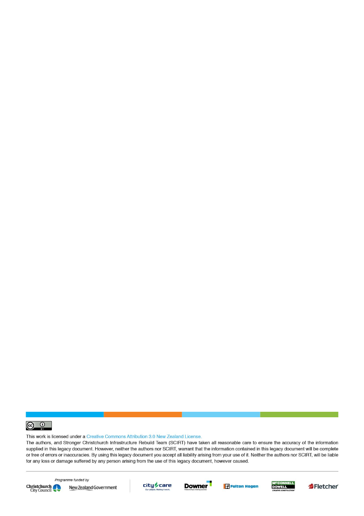

This work is licensed under a Creative Commons Attribution 3.0 New Zealand License.

The authors, and Stronger Christchurch Infrastructure Rebuild Team (SCIRT) have taken all reasonable care to ensure the accuracy of the information supplied in this legacy document. However, neither the authors nor SCIRT, warrant that the information contained in this legacy document will be complete or free of errors or inaccuracies. By using this legacy document you accept all liability arising from your use of it. Neither the authors nor SCIRT, will be liable for any loss or damage suffered by any person arising from the use of this legacy document, however caused.



Programme funded by New Zealand Government